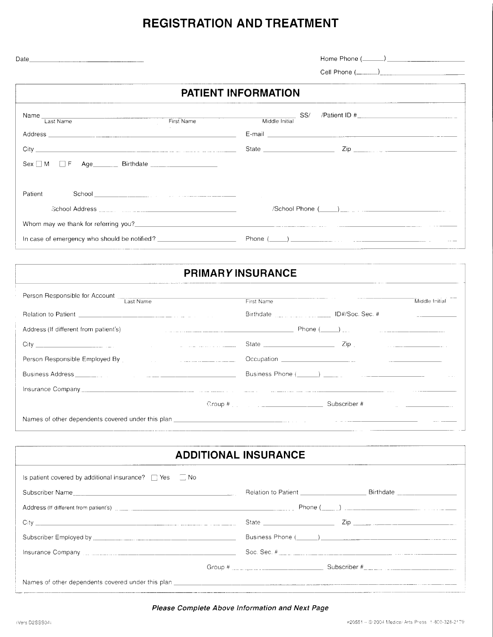# REGISTRATION AND TREATMENT

Home Phone ( )

Cell Phone  $(\_\_)$ 

## PATIENT INFORMATION

| Name I ast Name                                                                                                                                                                                                                | SS/<br>Middle Initial                                                                                    |
|--------------------------------------------------------------------------------------------------------------------------------------------------------------------------------------------------------------------------------|----------------------------------------------------------------------------------------------------------|
|                                                                                                                                                                                                                                |                                                                                                          |
|                                                                                                                                                                                                                                |                                                                                                          |
|                                                                                                                                                                                                                                |                                                                                                          |
|                                                                                                                                                                                                                                |                                                                                                          |
| Patient                                                                                                                                                                                                                        |                                                                                                          |
| School Address in the contract of the contract of the contract of the contract of the contract of the contract of the contract of the contract of the contract of the contract of the contract of the contract of the contract |                                                                                                          |
|                                                                                                                                                                                                                                |                                                                                                          |
| In case of emergency who should be notified? $\Box$                                                                                                                                                                            |                                                                                                          |
|                                                                                                                                                                                                                                | <u> 1989 - Andrea San Aonaichte ann an Comhair ann an Comhair ann an Comhair ann an Comhair ann an C</u> |

### PRIMARY INSURANCE

| Person Responsible for Account Last Name                                                                                                                                                                                             | First Name                                                                                                                                                                                                                        |                             |  |
|--------------------------------------------------------------------------------------------------------------------------------------------------------------------------------------------------------------------------------------|-----------------------------------------------------------------------------------------------------------------------------------------------------------------------------------------------------------------------------------|-----------------------------|--|
|                                                                                                                                                                                                                                      | Birthdate _____________________ ID#/Soc. Sec. #                                                                                                                                                                                   |                             |  |
| Address (If different from patient's)                                                                                                                                                                                                |                                                                                                                                                                                                                                   |                             |  |
|                                                                                                                                                                                                                                      |                                                                                                                                                                                                                                   | $\mathsf{Zip}_{\mathbb{C}}$ |  |
| Person Responsible Employed By [19] Person Responsible Employed By                                                                                                                                                                   |                                                                                                                                                                                                                                   |                             |  |
|                                                                                                                                                                                                                                      |                                                                                                                                                                                                                                   |                             |  |
| This trance Company <u>the Company of the Company of the Company of the Company of the Company of the Company of the Company of the Company of the Company of the Company of the Company of the Company of the Company of the Co</u> |                                                                                                                                                                                                                                   |                             |  |
|                                                                                                                                                                                                                                      | $Group~#$ and $H$ and $H$ and $H$ and $H$ and $H$ and $H$ and $H$ and $H$ and $H$ and $H$ and $H$ and $H$ and $H$ and $H$ and $H$ and $H$ and $H$ and $H$ and $H$ and $H$ and $H$ and $H$ and $H$ and $H$ and $H$ and $H$ and $H$ | Subscriber #                |  |
|                                                                                                                                                                                                                                      |                                                                                                                                                                                                                                   |                             |  |

### ADDITIONAL INSURANCE

| Is patient covered by additional insurance? $\Box$ Yes $\Box$ No |                                                                                                                                                                                                                                                                                                                                                                                                               |  |  |  |
|------------------------------------------------------------------|---------------------------------------------------------------------------------------------------------------------------------------------------------------------------------------------------------------------------------------------------------------------------------------------------------------------------------------------------------------------------------------------------------------|--|--|--|
| Subscriber Name                                                  | Birthdate ____________________                                                                                                                                                                                                                                                                                                                                                                                |  |  |  |
|                                                                  |                                                                                                                                                                                                                                                                                                                                                                                                               |  |  |  |
|                                                                  | State $\frac{1}{\sqrt{1-\frac{1}{2}}\sqrt{1-\frac{1}{2}}\sqrt{1-\frac{1}{2}}\sqrt{1-\frac{1}{2}}\sqrt{1-\frac{1}{2}}\sqrt{1-\frac{1}{2}}\sqrt{1-\frac{1}{2}}\sqrt{1-\frac{1}{2}}\sqrt{1-\frac{1}{2}}\sqrt{1-\frac{1}{2}}\sqrt{1-\frac{1}{2}}\sqrt{1-\frac{1}{2}}\sqrt{1-\frac{1}{2}}\sqrt{1-\frac{1}{2}}\sqrt{1-\frac{1}{2}}\sqrt{1-\frac{1}{2}}\sqrt{1-\frac{1}{2}}\sqrt{1-\frac{1}{2}}\sqrt{1-\frac{1}{2}}$ |  |  |  |
|                                                                  |                                                                                                                                                                                                                                                                                                                                                                                                               |  |  |  |
|                                                                  |                                                                                                                                                                                                                                                                                                                                                                                                               |  |  |  |
|                                                                  |                                                                                                                                                                                                                                                                                                                                                                                                               |  |  |  |
|                                                                  |                                                                                                                                                                                                                                                                                                                                                                                                               |  |  |  |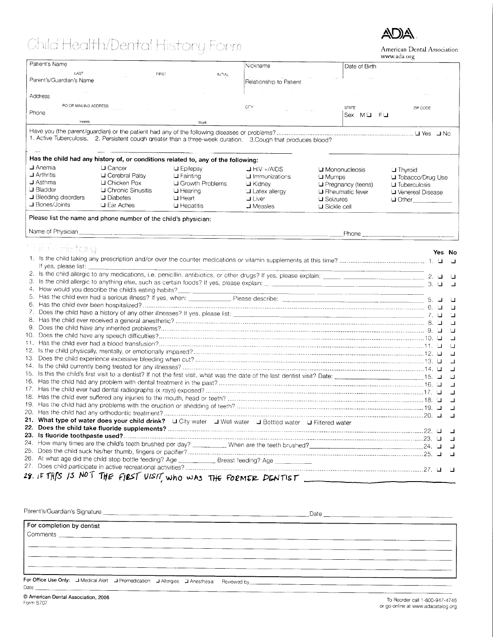# Child Health/Dental History Form



American Dental Association www.ada.org

| Patient's Name                    |                                                                                                               |                    | Nickname                |                      |                        | www.aug.org               |        |          |
|-----------------------------------|---------------------------------------------------------------------------------------------------------------|--------------------|-------------------------|----------------------|------------------------|---------------------------|--------|----------|
| LAST                              |                                                                                                               | INTIAL             |                         |                      | Date of Birth          |                           |        |          |
| FIRST<br>Parent's/Guardian's Name |                                                                                                               |                    | Relationship to Patient |                      |                        |                           |        |          |
|                                   |                                                                                                               |                    |                         |                      |                        |                           |        |          |
| Address                           |                                                                                                               |                    |                         |                      |                        |                           |        |          |
| PO OR MAILING ADDRESS             |                                                                                                               |                    | CITY                    |                      | <b>STATE</b>           | ZIP CODE                  |        |          |
| Phone                             |                                                                                                               |                    |                         |                      | Sex MU FU              |                           |        |          |
| Home                              |                                                                                                               | Work               |                         |                      |                        |                           |        |          |
|                                   |                                                                                                               |                    |                         |                      |                        |                           |        |          |
|                                   | 1. Active Tuberculosis, 2. Persistent cough greater than a three-week duration, 3. Cough that produces blood? |                    |                         |                      |                        |                           |        |          |
|                                   |                                                                                                               |                    |                         |                      |                        |                           |        |          |
|                                   |                                                                                                               |                    |                         |                      |                        |                           |        |          |
|                                   | Has the child had any history of, or conditions related to, any of the following:                             |                    |                         |                      |                        |                           |        |          |
| $\Box$ Anemia                     | $\sqcup$ Cancer                                                                                               | $\sqcup$ Epilepsy  | $J$ HIV +/AIDS          |                      | <b>□ Mononucleosis</b> | <b>J</b> Thyroid          |        |          |
| $\Box$ Arthritis                  | <b>□</b> Cerebral Palsy                                                                                       | $\sqcup$ Fainting  | $\sqcup$ Immunizations  | $\sqcup$ Mumps       |                        | <b>⊔</b> Tobacco/Drug Use |        |          |
| $\mathsf{\mathsf{J}}$ Asthma      | <b>□</b> Chicken Pox                                                                                          | LI Growth Problems | $U$ Kidney              |                      | □ Pregnancy (teens)    | $\sqcup$ Tuberculosis     |        |          |
| <b>□</b> Bladder                  | <b>□</b> Chronic Sinusitis                                                                                    | $\sqcup$ Hearing   | <b>U</b> Latex allergy  |                      | $\Box$ Rheumatic fever | <b>□</b> Venereal Disease |        |          |
| <b>■ Bleeding disorders</b>       | $\Box$ Diabetes                                                                                               | $\sqcup$ Heart     | <b>J</b> Liver          | $\sqcup$ Seizures    |                        | $\Box$ Other              |        |          |
| J Bones/Joints                    | $\sqcup$ Ear Aches                                                                                            | $\sqcup$ Hepatitis | $\Box$ Measles          | $\sqcup$ Sickle cell |                        |                           |        |          |
|                                   |                                                                                                               |                    |                         |                      |                        |                           |        |          |
|                                   | Please list the name and phone number of the child's physician:                                               |                    |                         |                      |                        |                           |        |          |
| Name of Physician                 |                                                                                                               |                    |                         |                      |                        |                           |        |          |
|                                   |                                                                                                               |                    |                         |                      |                        |                           |        |          |
| ta or Hefong                      |                                                                                                               |                    |                         |                      |                        |                           |        |          |
|                                   |                                                                                                               |                    |                         |                      |                        |                           | Yes No |          |
| If yes, please list:              |                                                                                                               |                    |                         |                      |                        |                           |        |          |
|                                   |                                                                                                               |                    |                         |                      |                        |                           |        |          |
|                                   |                                                                                                               |                    |                         |                      |                        |                           |        |          |
|                                   |                                                                                                               |                    |                         |                      |                        |                           |        | $\Box$   |
|                                   | 4. How would you describe the child's eating habits?                                                          |                    |                         |                      |                        |                           |        |          |
| 5.                                |                                                                                                               |                    |                         |                      |                        |                           |        |          |
| 6.                                |                                                                                                               |                    |                         |                      |                        |                           |        | $\Box$   |
| 7.                                |                                                                                                               |                    |                         |                      |                        |                           |        | П        |
| 8.                                |                                                                                                               |                    |                         |                      |                        |                           |        | Ч        |
| 9.                                |                                                                                                               |                    |                         |                      |                        |                           |        | $\sqcup$ |
|                                   |                                                                                                               |                    |                         |                      |                        |                           |        | $\Box$   |
|                                   |                                                                                                               |                    |                         |                      |                        |                           |        | $\cup$   |
|                                   |                                                                                                               |                    |                         |                      |                        |                           |        | a        |
|                                   |                                                                                                               |                    |                         |                      |                        |                           |        | ⊐        |
|                                   |                                                                                                               |                    |                         |                      |                        |                           |        | ┙        |
|                                   |                                                                                                               |                    |                         |                      |                        |                           |        | u        |
|                                   |                                                                                                               |                    |                         |                      |                        |                           |        | Ц        |
|                                   |                                                                                                               |                    |                         |                      |                        |                           |        |          |
|                                   |                                                                                                               |                    |                         |                      |                        |                           |        |          |
|                                   |                                                                                                               |                    |                         |                      |                        |                           |        | ⊐        |
|                                   |                                                                                                               |                    |                         |                      |                        |                           |        | ┙        |
|                                   | 21. What type of water does your child drink? Li City water Li Well water Li Bottled water Li Filtered water  |                    |                         |                      |                        |                           |        |          |
|                                   |                                                                                                               |                    |                         |                      |                        |                           |        |          |
|                                   |                                                                                                               |                    |                         |                      |                        |                           |        |          |
|                                   |                                                                                                               |                    |                         |                      |                        |                           |        | ل        |
|                                   |                                                                                                               |                    |                         |                      |                        |                           |        |          |
|                                   | 26. At what age did the child stop bottle feeding? Age _______________ Breast feeding? Age __________         |                    |                         |                      |                        |                           |        |          |
|                                   |                                                                                                               |                    |                         |                      |                        |                           |        |          |
|                                   |                                                                                                               |                    |                         |                      |                        |                           |        |          |
|                                   | 28. IF THIS IS NOT THE FIRST VISIT, who was THE FORMER DENTIST                                                |                    |                         |                      |                        |                           |        |          |

Parent's/Guardian's Signature

 $Data$ 

For completion by dentist Comments \_ For Office Use Only: J Medical Alert J Premedication J Allergies J Anesthesia Reviewed by Date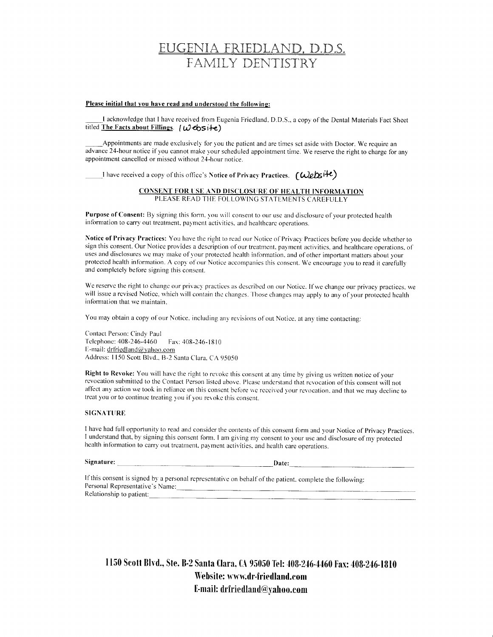## EUGENIA FRIEDLAND, D.D.S. FAMILY DENTISTRY

#### Please initial that you have read and understood the following:

I acknowledge that I have received from Eugenia Friedland, D.D.S., a copy of the Dental Materials Fact Sheet titled The Facts about Fillings.  $(W \cdot \text{cbs}) + e$ 

Appointments are made exclusively for you the patient and are times set aside with Doctor. We require an advance 24-hour notice if you cannot make your scheduled appointment time. We reserve the right to charge for any appointment cancelled or missed without 24-hour notice.

I have received a copy of this office's Notice of Privacy Practices.  $\int \mathcal{W}$ etsite)

#### **CONSENT FOR USE AND DISCLOSURE OF HEALTH INFORMATION** PLEASE READ THE FOLLOWING STATEMENTS CAREFULLY

Purpose of Consent: By signing this form, you will consent to our use and disclosure of your protected health information to carry out treatment, payment activities, and healthcare operations.

Notice of Privacy Practices: You have the right to read our Notice of Privacy Practices before you decide whether to sign this consent. Our Notice provides a description of our treatment, payment activities, and healthcare operations, of uses and disclosures we may make of your protected health information, and of other important matters about your protected health information. A copy of our Notice accompanies this consent. We encourage you to read it carefully and completely before signing this consent.

We reserve the right to change our privacy practices as described on our Notice. If we change our privacy practices, we will issue a revised Notice, which will contain the changes. Those changes may apply to any of your protected health information that we maintain.

You may obtain a copy of our Notice, including any revisions of out Notice, at any time contacting:

Contact Person: Cindy Paul Telephone: 408-246-4460 Fax: 408-246-1810 E-mail: drfriedland@yahoo.com Address: 1150 Scott Blvd., B-2 Santa Clara, CA 95050

Right to Revoke: You will have the right to revoke this consent at any time by giving us written notice of your revocation submitted to the Contact Person listed above. Please understand that revocation of this consent will not affect any action we took in reliance on this consent before we received your revocation, and that we may decline to treat you or to continue treating you if you revoke this consent.

#### **SIGNATURE**

I have had full opportunity to read and consider the contents of this consent form and your Notice of Privacy Practices. I understand that, by signing this consent form. I am giving my consent to your use and disclosure of my protected health information to carry out treatment, payment activities, and health care operations.

### Signature: Date: Date:

If this consent is signed by a personal representative on behalf of the patient, complete the following: Personal Representative's Name: Relationship to patient:

1150 Scott Blvd., Ste. B-2 Santa Clara, CA 95050 Tel: 408-246-4460 Fax: 408-246-1810 Website: www.dr-friedland.com E-mail: drfriedland@yahoo.com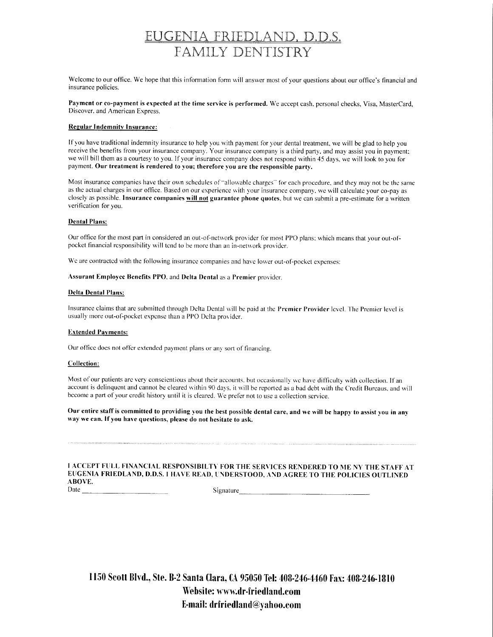# <u>EUGENIA FRIEDLAND, D.D.S.</u> FAMILY DENTISTRY

Welcome to our office. We hope that this information form will answer most of your questions about our office's financial and insurance policies.

Payment or co-payment is expected at the time service is performed. We accept cash, personal checks, Visa, MasterCard, Discover, and American Express.

#### **Regular Indemnity Insurance:**

If you have traditional indemnity insurance to help you with payment for your dental treatment, we will be glad to help you receive the benefits from your insurance company. Your insurance company is a third party, and may assist you in payment; we will bill them as a courtesy to you. If your insurance company does not respond within 45 days, we will look to you for payment. Our treatment is rendered to you; therefore you are the responsible party.

Most insurance companies have their own schedules of "allowable charges" for each procedure, and they may not be the same as the actual charges in our office. Based on our experience with your insurance company, we will calculate your co-pay as closely as possible. Insurance companies will not guarantee phone quotes, but we can submit a pre-estimate for a written verification for you.

#### **Dental Plans:**

Our office for the most part in considered an out-of-network provider for most PPO plans; which means that your out-ofpocket financial responsibility will tend to be more than an in-network provider.

We are contracted with the following insurance companies and have lower out-of-pocket expenses:

#### Assurant Employee Benefits PPO, and Delta Dental as a Premier provider.

#### **Delta Dental Plans:**

Insurance claims that are submitted through Delta Dental will be paid at the Premier Provider level. The Premier level is usually more out-of-pocket expense than a PPO Delta provider.

#### **Extended Payments:**

Our office does not offer extended payment plans or any sort of financing.

#### Collection:

Most of our patients are very conscientious about their accounts, but occasionally we have difficulty with collection. If an account is delinquent and cannot be cleared within 90 days, it will be reported as a bad debt with the Credit Bureaus, and will become a part of your credit history until it is cleared. We prefer not to use a collection service.

Our entire staff is committed to providing you the best possible dental care, and we will be happy to assist you in any way we can. If you have questions, please do not hesitate to ask.

I ACCEPT FULL FINANCIAL RESPONSIBILTY FOR THE SERVICES RENDERED TO ME NY THE STAFF AT EUGENIA FRIEDLAND, D.D.S. I HAVE READ, UNDERSTOOD, AND AGREE TO THE POLICIES OUTLINED ABOVE. Date

Signature

1150 Scott Blvd., Ste. B-2 Santa Clara, CA 95050 Tel: 408-246-4460 Fax: 408-246-1810 Website: www.dr-friedland.com E-mail: drfriedland@yahoo.com